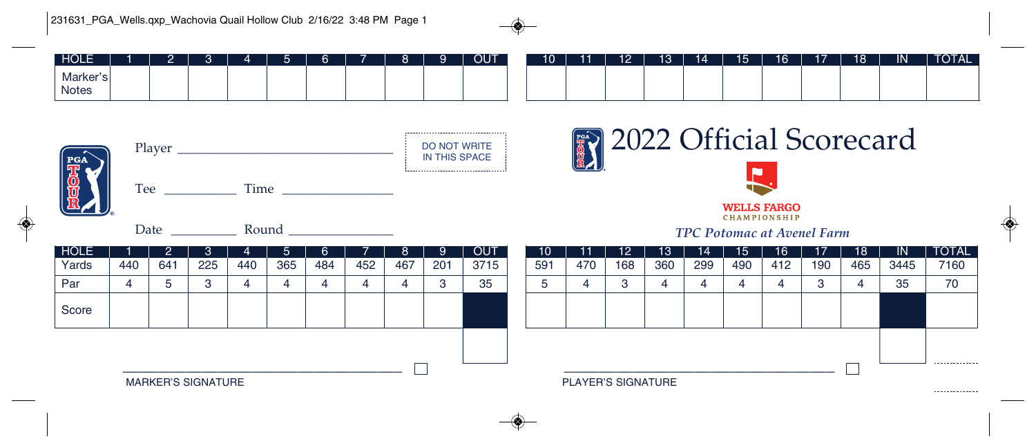## 231631\_PGA\_Wells.qxp\_Wachovia Quail Hollow Club 2/16/22 3:48 PM Page 1

◈

| <b>HOLE</b>        |  |  |  |  | u | <b>OUT</b> | 10 | 11 | 12 | 19 | - 14 - | 15 | 16 <sup>1</sup> | 17 | 18 | . IN' | <b>TOTAL</b> |
|--------------------|--|--|--|--|---|------------|----|----|----|----|--------|----|-----------------|----|----|-------|--------------|
| Marker'sl<br>Notes |  |  |  |  |   |            |    |    |    |    |        |    |                 |    |    |       |              |



--------------